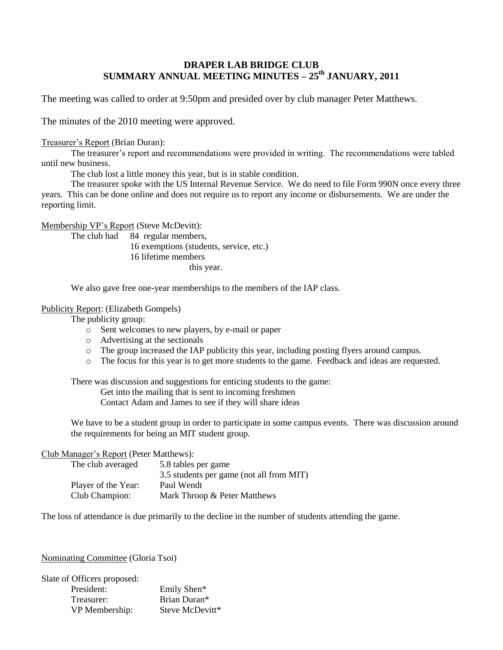# **DRAPER LAB BRIDGE CLUB SUMMARY ANNUAL MEETING MINUTES – 25 th JANUARY, 2011**

The meeting was called to order at 9:50pm and presided over by club manager Peter Matthews.

The minutes of the 2010 meeting were approved.

## Treasurer's Report (Brian Duran):

The treasurer's report and recommendations were provided in writing. The recommendations were tabled until new business.

The club lost a little money this year, but is in stable condition.

The treasurer spoke with the US Internal Revenue Service. We do need to file Form 990N once every three years. This can be done online and does not require us to report any income or disbursements. We are under the reporting limit.

Membership VP's Report (Steve McDevitt):

The club had 84 regular members, 16 exemptions (students, service, etc.) 16 lifetime members this year.

We also gave free one-year memberships to the members of the IAP class.

## Publicity Report: (Elizabeth Gompels)

The publicity group:

- o Sent welcomes to new players, by e-mail or paper
- o Advertising at the sectionals
- o The group increased the IAP publicity this year, including posting flyers around campus.
- o The focus for this year is to get more students to the game. Feedback and ideas are requested.

There was discussion and suggestions for enticing students to the game:

Get into the mailing that is sent to incoming freshmen

Contact Adam and James to see if they will share ideas

We have to be a student group in order to participate in some campus events. There was discussion around the requirements for being an MIT student group.

## Club Manager's Report (Peter Matthews):

| The club averaged   | 5.8 tables per game                      |
|---------------------|------------------------------------------|
|                     | 3.5 students per game (not all from MIT) |
| Player of the Year: | Paul Wendt                               |
| Club Champion:      | Mark Throop & Peter Matthews             |

The loss of attendance is due primarily to the decline in the number of students attending the game.

## Nominating Committee (Gloria Tsoi)

| Slate of Officers proposed: |                 |
|-----------------------------|-----------------|
| President:                  | Emily Shen*     |
| Treasurer:                  | Brian Duran*    |
| VP Membership:              | Steve McDevitt* |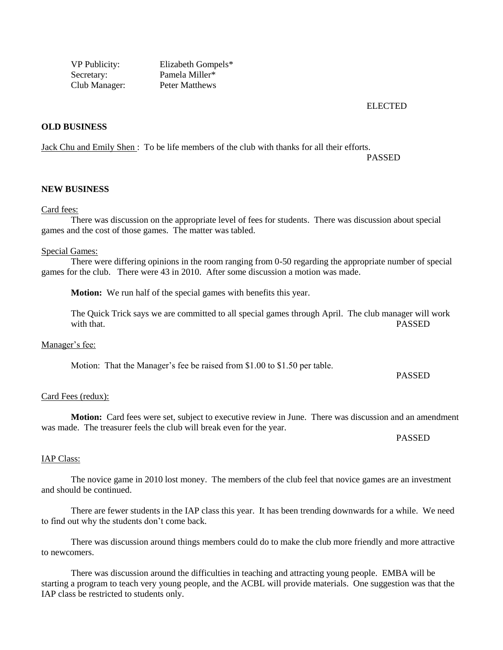VP Publicity: Elizabeth Gompels\* Secretary: Pamela Miller\* Club Manager: Peter Matthews

ELECTED

## **OLD BUSINESS**

Jack Chu and Emily Shen : To be life members of the club with thanks for all their efforts.

PASSED

#### **NEW BUSINESS**

#### Card fees:

There was discussion on the appropriate level of fees for students. There was discussion about special games and the cost of those games. The matter was tabled.

#### Special Games:

There were differing opinions in the room ranging from 0-50 regarding the appropriate number of special games for the club. There were 43 in 2010. After some discussion a motion was made.

**Motion:** We run half of the special games with benefits this year.

The Quick Trick says we are committed to all special games through April. The club manager will work with that. PASSED

Manager's fee:

Motion: That the Manager's fee be raised from \$1.00 to \$1.50 per table.

PASSED

#### Card Fees (redux):

**Motion:** Card fees were set, subject to executive review in June. There was discussion and an amendment was made. The treasurer feels the club will break even for the year.

PASSED

#### IAP Class:

The novice game in 2010 lost money. The members of the club feel that novice games are an investment and should be continued.

There are fewer students in the IAP class this year. It has been trending downwards for a while. We need to find out why the students don't come back.

There was discussion around things members could do to make the club more friendly and more attractive to newcomers.

There was discussion around the difficulties in teaching and attracting young people. EMBA will be starting a program to teach very young people, and the ACBL will provide materials. One suggestion was that the IAP class be restricted to students only.